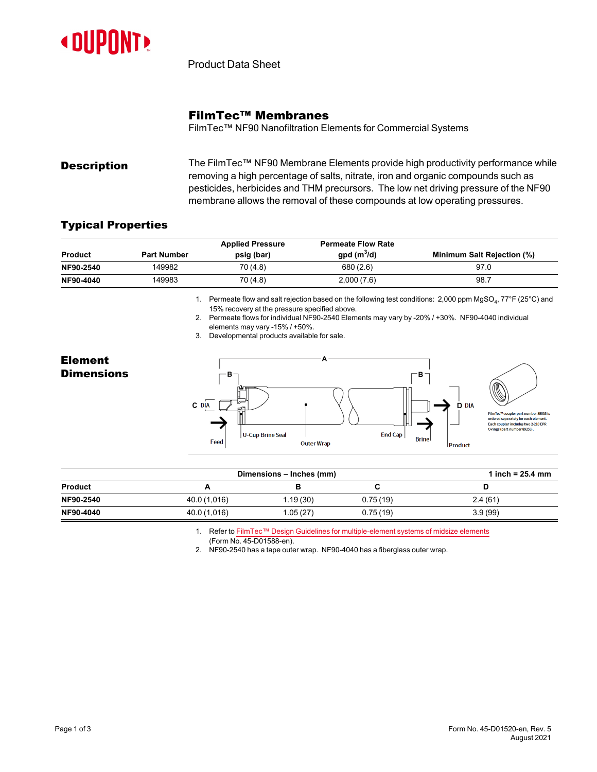

Product Data Sheet

## FilmTec™ Membranes

FilmTec™ NF90 Nanofiltration Elements for Commercial Systems

**Description** The FilmTec™ NF90 Membrane Elements provide high productivity performance while removing a high percentage of salts, nitrate, iron and organic compounds such as pesticides, herbicides and THM precursors. The low net driving pressure of the NF90 membrane allows the removal of these compounds at low operating pressures.

## Typical Properties

|                |                    | <b>Applied Pressure</b> | <b>Permeate Flow Rate</b> |                                   |
|----------------|--------------------|-------------------------|---------------------------|-----------------------------------|
| <b>Product</b> | <b>Part Number</b> | psig (bar)              | $gpd(m^3/d)$              | <b>Minimum Salt Rejection (%)</b> |
| NF90-2540      | 149982             | 70 (4.8)                | 680(2.6)                  | 97.0                              |
| NF90-4040      | 149983             | 70 (4.8)                | 2,000(7.6)                | 98.7                              |

1. Permeate flow and salt rejection based on the following test conditions: 2,000 ppm MgSO $_4$ , 77°F (25°C) and 15% recovery at the pressure specified above.

2. Permeate flows for individual NF90-2540 Elements may vary by -20% / +30%. NF90-4040 individual elements may vary -15% / +50%.

3. Developmental products available for sale.

## Element Δ **Dimensions** B B C DIA **D DIA** FilmTec™ coupler part number 89055 is Firm rec<sup>inc</sup>coupler part number 89055<br>ordered separately for each element.<br>Each coupler includes two 2-210 EPR<br>O-rings (part number 89255). **U-Cup Brine Seal End Cap Brine** Feec **Outer Wrap** Product

|           | 1 inch = $25.4 \, \text{mm}$ |          |          |         |
|-----------|------------------------------|----------|----------|---------|
| Product   |                              |          |          |         |
| NF90-2540 | 40.0 (1,016)                 | 1.19(30) | 0.75(19) | 2.4(61) |
| NF90-4040 | 40.0 (1,016)                 | 1.05(27) | 0.75(19) | 3.9(99) |

1. Refer to FilmTec™ Design Guidelines for [multiple-element](https://www.dupont.com/content/dam/dupont/amer/us/en/water-solutions/public/documents/en/RO-NF-FilmTec-Membrane-Sys-Design-Guidelines-Midsize-Manual-Exc-45-D01588-en.pdf) systems of midsize elements (Form No. 45-D01588-en).

2. NF90-2540 has a tape outer wrap. NF90-4040 has a fiberglass outer wrap.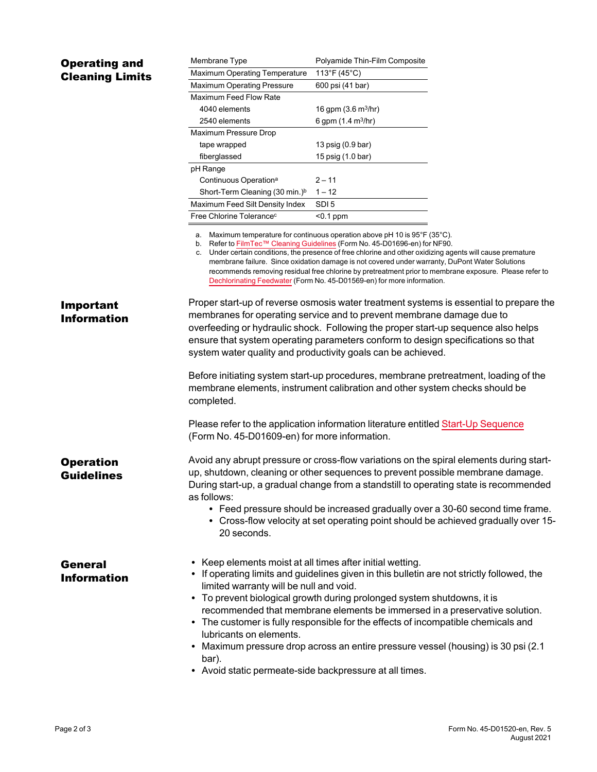| <b>Operating and</b>                   | Membrane Type                                                                                                                                                                                                                                                                                                                                                                                                                                                                                                                                                                                                                        | Polyamide Thin-Film Composite        |                                                                                        |  |  |
|----------------------------------------|--------------------------------------------------------------------------------------------------------------------------------------------------------------------------------------------------------------------------------------------------------------------------------------------------------------------------------------------------------------------------------------------------------------------------------------------------------------------------------------------------------------------------------------------------------------------------------------------------------------------------------------|--------------------------------------|----------------------------------------------------------------------------------------|--|--|
| <b>Cleaning Limits</b>                 | <b>Maximum Operating Temperature</b>                                                                                                                                                                                                                                                                                                                                                                                                                                                                                                                                                                                                 | 113°F (45°C)                         |                                                                                        |  |  |
|                                        | Maximum Operating Pressure                                                                                                                                                                                                                                                                                                                                                                                                                                                                                                                                                                                                           | 600 psi (41 bar)                     |                                                                                        |  |  |
|                                        | Maximum Feed Flow Rate                                                                                                                                                                                                                                                                                                                                                                                                                                                                                                                                                                                                               |                                      |                                                                                        |  |  |
|                                        | 4040 elements                                                                                                                                                                                                                                                                                                                                                                                                                                                                                                                                                                                                                        | 16 gpm $(3.6 \text{ m}^3/\text{hr})$ |                                                                                        |  |  |
|                                        | 2540 elements                                                                                                                                                                                                                                                                                                                                                                                                                                                                                                                                                                                                                        | 6 gpm $(1.4 \text{ m}^3/\text{hr})$  |                                                                                        |  |  |
|                                        | Maximum Pressure Drop                                                                                                                                                                                                                                                                                                                                                                                                                                                                                                                                                                                                                |                                      |                                                                                        |  |  |
|                                        | tape wrapped                                                                                                                                                                                                                                                                                                                                                                                                                                                                                                                                                                                                                         | 13 psig (0.9 bar)                    |                                                                                        |  |  |
|                                        | fiberglassed                                                                                                                                                                                                                                                                                                                                                                                                                                                                                                                                                                                                                         | 15 psig (1.0 bar)                    |                                                                                        |  |  |
|                                        | pH Range                                                                                                                                                                                                                                                                                                                                                                                                                                                                                                                                                                                                                             |                                      |                                                                                        |  |  |
|                                        | Continuous Operation <sup>a</sup>                                                                                                                                                                                                                                                                                                                                                                                                                                                                                                                                                                                                    | $2 - 11$                             |                                                                                        |  |  |
|                                        | Short-Term Cleaning (30 min.) <sup>b</sup>                                                                                                                                                                                                                                                                                                                                                                                                                                                                                                                                                                                           | $1 - 12$                             |                                                                                        |  |  |
|                                        | Maximum Feed Silt Density Index                                                                                                                                                                                                                                                                                                                                                                                                                                                                                                                                                                                                      | SDI <sub>5</sub>                     |                                                                                        |  |  |
|                                        | Free Chlorine Tolerance <sup>c</sup>                                                                                                                                                                                                                                                                                                                                                                                                                                                                                                                                                                                                 | $< 0.1$ ppm                          |                                                                                        |  |  |
|                                        | a. Maximum temperature for continuous operation above pH 10 is 95°F (35°C).<br>b. Refer to FilmTec™ Cleaning Guidelines (Form No. 45-D01696-en) for NF90.<br>Under certain conditions, the presence of free chlorine and other oxidizing agents will cause premature<br>c.<br>membrane failure. Since oxidation damage is not covered under warranty, DuPont Water Solutions<br>recommends removing residual free chlorine by pretreatment prior to membrane exposure.  Please refer to<br>Dechlorinating Feedwater (Form No. 45-D01569-en) for more information.                                                                    |                                      |                                                                                        |  |  |
| <b>Important</b><br><b>Information</b> | membranes for operating service and to prevent membrane damage due to<br>overfeeding or hydraulic shock. Following the proper start-up sequence also helps<br>ensure that system operating parameters conform to design specifications so that<br>system water quality and productivity goals can be achieved.                                                                                                                                                                                                                                                                                                                       |                                      | Proper start-up of reverse osmosis water treatment systems is essential to prepare the |  |  |
|                                        | Before initiating system start-up procedures, membrane pretreatment, loading of the<br>membrane elements, instrument calibration and other system checks should be<br>completed.                                                                                                                                                                                                                                                                                                                                                                                                                                                     |                                      |                                                                                        |  |  |
|                                        | Please refer to the application information literature entitled Start-Up Sequence<br>(Form No. 45-D01609-en) for more information.                                                                                                                                                                                                                                                                                                                                                                                                                                                                                                   |                                      |                                                                                        |  |  |
| <b>Operation</b><br><b>Guidelines</b>  | Avoid any abrupt pressure or cross-flow variations on the spiral elements during start-<br>up, shutdown, cleaning or other sequences to prevent possible membrane damage.<br>During start-up, a gradual change from a standstill to operating state is recommended<br>as follows:<br>• Feed pressure should be increased gradually over a 30-60 second time frame.<br>• Cross-flow velocity at set operating point should be achieved gradually over 15-<br>20 seconds.                                                                                                                                                              |                                      |                                                                                        |  |  |
| <b>General</b><br><b>Information</b>   | • Keep elements moist at all times after initial wetting.<br>• If operating limits and guidelines given in this bulletin are not strictly followed, the<br>limited warranty will be null and void.<br>• To prevent biological growth during prolonged system shutdowns, it is<br>recommended that membrane elements be immersed in a preservative solution.<br>• The customer is fully responsible for the effects of incompatible chemicals and<br>lubricants on elements.<br>• Maximum pressure drop across an entire pressure vessel (housing) is 30 psi (2.1<br>bar).<br>• Avoid static permeate-side backpressure at all times. |                                      |                                                                                        |  |  |